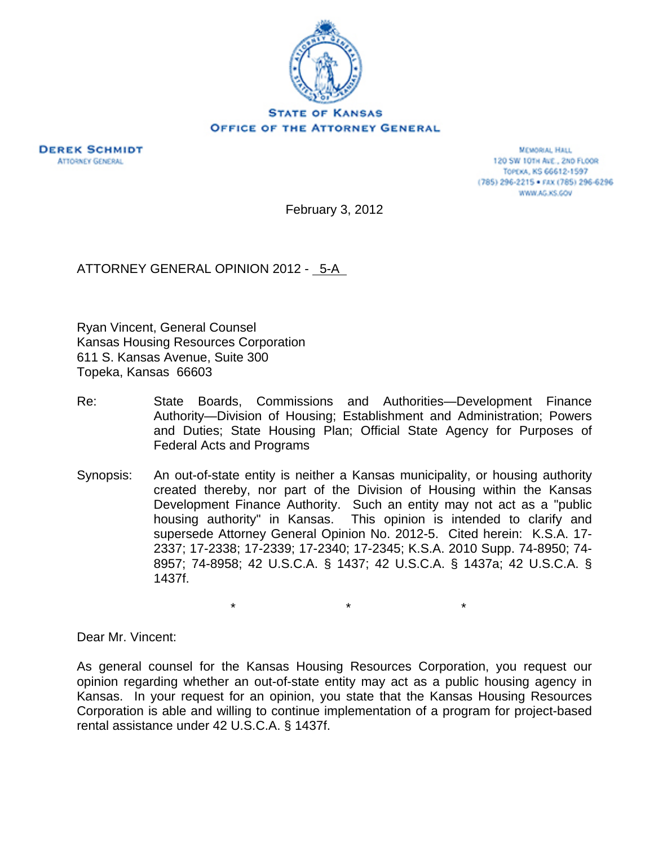

**STATE OF KANSAS** OFFICE OF THE ATTORNEY GENERAL



**MEMORIAL HALL** 120 SW 101H AVE., 2ND FLOOR TOPEKA, KS 66612-1597 (785) 296-2215 · FAX (785) 296-6296 WWW.AG.KS.GOV

February 3, 2012

ATTORNEY GENERAL OPINION 2012 - 5-A

Ryan Vincent, General Counsel Kansas Housing Resources Corporation 611 S. Kansas Avenue, Suite 300 Topeka, Kansas 66603

- Re: State Boards, Commissions and Authorities—Development Finance Authority—Division of Housing; Establishment and Administration; Powers and Duties; State Housing Plan; Official State Agency for Purposes of Federal Acts and Programs
- Synopsis: An out-of-state entity is neither a Kansas municipality, or housing authority created thereby, nor part of the Division of Housing within the Kansas Development Finance Authority. Such an entity may not act as a "public housing authority" in Kansas. This opinion is intended to clarify and supersede Attorney General Opinion No. 2012-5. Cited herein: K.S.A. 17- 2337; 17-2338; 17-2339; 17-2340; 17-2345; K.S.A. 2010 Supp. 74-8950; 74- 8957; 74-8958; 42 U.S.C.A. § 1437; 42 U.S.C.A. § 1437a; 42 U.S.C.A. § 1437f.

 $\star$   $\star$   $\star$ 

Dear Mr. Vincent:

As general counsel for the Kansas Housing Resources Corporation, you request our opinion regarding whether an out-of-state entity may act as a public housing agency in Kansas. In your request for an opinion, you state that the Kansas Housing Resources Corporation is able and willing to continue implementation of a program for project-based rental assistance under 42 U.S.C.A. § 1437f.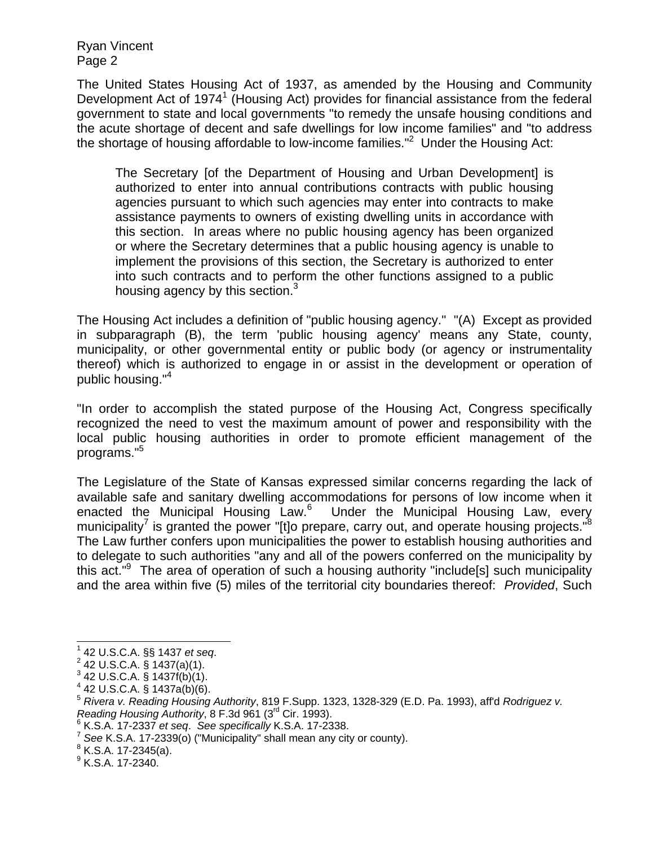Ryan Vincent Page 2

The United States Housing Act of 1937, as amended by the Housing and Community Development Act of 1974<sup>1</sup> (Housing Act) provides for financial assistance from the federal government to state and local governments "to remedy the unsafe housing conditions and the acute shortage of decent and safe dwellings for low income families" and "to address the shortage of housing affordable to low-income families." $2$  Under the Housing Act:

The Secretary [of the Department of Housing and Urban Development] is authorized to enter into annual contributions contracts with public housing agencies pursuant to which such agencies may enter into contracts to make assistance payments to owners of existing dwelling units in accordance with this section. In areas where no public housing agency has been organized or where the Secretary determines that a public housing agency is unable to implement the provisions of this section, the Secretary is authorized to enter into such contracts and to perform the other functions assigned to a public housing agency by this section.<sup>3</sup>

The Housing Act includes a definition of "public housing agency." "(A) Except as provided in subparagraph (B), the term 'public housing agency' means any State, county, municipality, or other governmental entity or public body (or agency or instrumentality thereof) which is authorized to engage in or assist in the development or operation of public housing."4

"In order to accomplish the stated purpose of the Housing Act, Congress specifically recognized the need to vest the maximum amount of power and responsibility with the local public housing authorities in order to promote efficient management of the programs."<sup>5</sup>

The Legislature of the State of Kansas expressed similar concerns regarding the lack of available safe and sanitary dwelling accommodations for persons of low income when it enacted the Municipal Housing Law.<sup>6</sup> Under the Municipal Housing Law, every municipality<sup>7</sup> is granted the power "[t]o prepare, carry out, and operate housing projects." $8$ The Law further confers upon municipalities the power to establish housing authorities and to delegate to such authorities "any and all of the powers conferred on the municipality by this act."<sup>9</sup> The area of operation of such a housing authority "include[s] such municipality and the area within five (5) miles of the territorial city boundaries thereof: *Provided*, Such

 $8$  K.S.A. 17-2345(a).

 $\overline{a}$ 

<sup>&</sup>lt;sup>1</sup> 42 U.S.C.A. §§ 1437 *et seq.*<br><sup>2</sup> 42 U.S.C.A. § 4437(o)(4)

 $^{2}$  42 U.S.C.A. § 1437(a)(1).

 $3$  42 U.S.C.A. § 1437f(b)(1).

 $4$  42 U.S.C.A. § 1437a(b)(6).

<sup>5</sup> *Rivera v. Reading Housing Authority*, 819 F.Supp. 1323, 1328-329 (E.D. Pa. 1993), aff'd *Rodriguez v. Reading Housing Authority*, 8 F.3d 961 (3<sup>rd</sup> Cir. 1993).<br><sup>6</sup> K.S.A. 17-2337 *et seq. See specifically* K.S.A. 17-2338.

*et see K.S.A. 17-2339(o)* ("Municipality" shall mean any city or county).

 $^9$  K.S.A. 17-2340.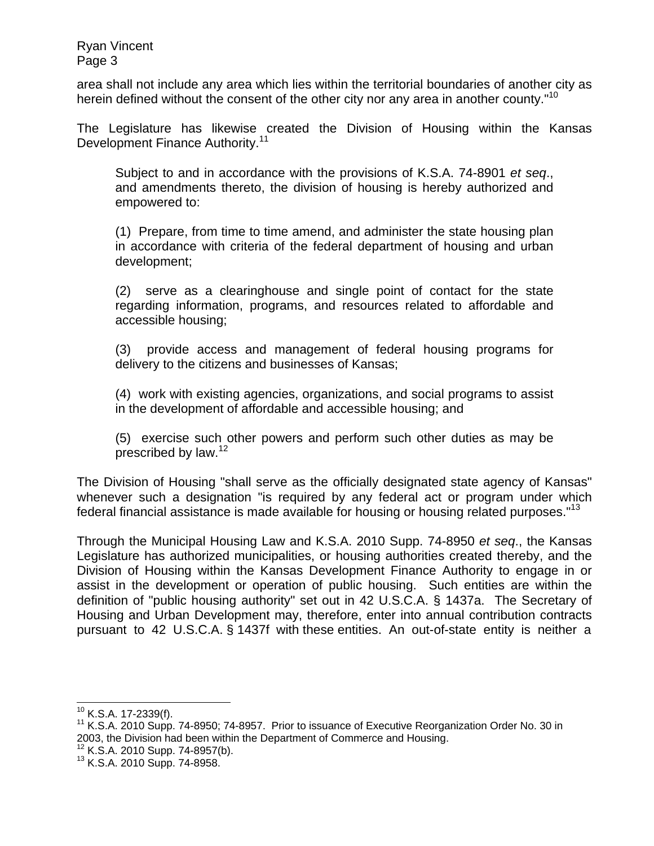Ryan Vincent Page 3

area shall not include any area which lies within the territorial boundaries of another city as herein defined without the consent of the other city nor any area in another county."<sup>10</sup>

The Legislature has likewise created the Division of Housing within the Kansas Development Finance Authority.<sup>11</sup>

Subject to and in accordance with the provisions of K.S.A. 74-8901 *et seq*., and amendments thereto, the division of housing is hereby authorized and empowered to:

(1) Prepare, from time to time amend, and administer the state housing plan in accordance with criteria of the federal department of housing and urban development;

(2) serve as a clearinghouse and single point of contact for the state regarding information, programs, and resources related to affordable and accessible housing;

(3) provide access and management of federal housing programs for delivery to the citizens and businesses of Kansas;

(4) work with existing agencies, organizations, and social programs to assist in the development of affordable and accessible housing; and

(5) exercise such other powers and perform such other duties as may be prescribed by law.<sup>12</sup>

The Division of Housing "shall serve as the officially designated state agency of Kansas" whenever such a designation "is required by any federal act or program under which federal financial assistance is made available for housing or housing related purposes."13

Through the Municipal Housing Law and K.S.A. 2010 Supp. 74-8950 *et seq*., the Kansas Legislature has authorized municipalities, or housing authorities created thereby, and the Division of Housing within the Kansas Development Finance Authority to engage in or assist in the development or operation of public housing. Such entities are within the definition of "public housing authority" set out in 42 U.S.C.A. § 1437a. The Secretary of Housing and Urban Development may, therefore, enter into annual contribution contracts pursuant to 42 U.S.C.A. § 1437f with these entities. An out-of-state entity is neither a

 $10$  K.S.A. 17-2339(f).

 $11$  K.S.A. 2010 Supp. 74-8950; 74-8957. Prior to issuance of Executive Reorganization Order No. 30 in 2003, the Division had been within the Department of Commerce and Housing.<br><sup>12</sup> K.S.A. 2010 Supp. 74-8957(b).<br><sup>13</sup> K.S.A. 2010 Supp. 74-8958.